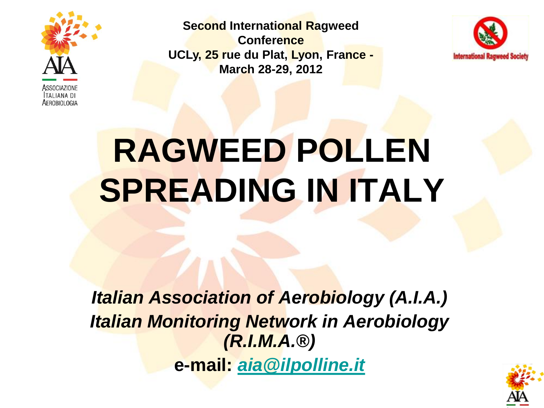

**Second International Ragweed Conference UCLy, 25 rue du Plat, Lyon, France - March 28-29, 2012**



# **RAGWEED POLLEN SPREADING IN ITALY**

*Italian Association of Aerobiology (A.I.A.) Italian Monitoring Network in Aerobiology (R.I.M.A.®)* **e-mail:** *[aia@ilpolline.it](mailto:aia@ilpolline.it)*

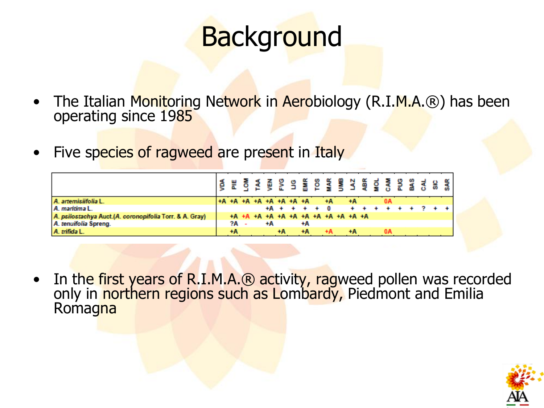#### **Background**

- The Italian Monitoring Network in Aerobiology (R.I.M.A.®) has been operating since 1985
- Five species of ragweed are present in Italy

| A. artemisiifolia L.                                    |      | +A +A +A +A +A +A +A +A             |    |    |                | $+A$ | ÷Α   |  |    |                   |  |  |
|---------------------------------------------------------|------|-------------------------------------|----|----|----------------|------|------|--|----|-------------------|--|--|
| A. maritima L.                                          |      |                                     |    |    | $+A + + + + 0$ |      |      |  |    | + + + + + + 2 + + |  |  |
| A. psilostachya Auct.(A. coronopifolia Torr. & A. Gray) |      | +A +A +A +A +A +A +A +A +A +A +A +A |    |    |                |      |      |  |    |                   |  |  |
| A. tenuifolia Spreng.                                   | ?A - |                                     | ÷Α |    | $+A$           |      |      |  |    |                   |  |  |
| A. trifida L.                                           | ÷А   |                                     |    | ÷А | ÷А             | ÷А   | $+A$ |  | 0А |                   |  |  |

In the first years of R.I.M.A.® activity, ragweed pollen was recorded only in northern regions such as Lombardy, Piedmont and Emilia **Romagna** 

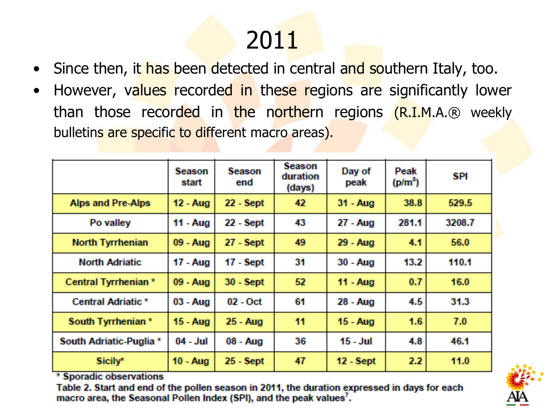### 2011

- Since then, it has been detected in central and southern Italy, too.
- However, values recorded in these regions are significantly lower than those recorded in the northern regions (R.I.M.A.® weekly bulletins are specific to different macro areas).

|                                                                                                   | <b>Season</b><br>start | <b>Season</b><br>end | <b>Season</b><br>duration<br>(days) | Day of<br>peak | Peak<br>$(p/m^3)$ | SPI    |  |
|---------------------------------------------------------------------------------------------------|------------------------|----------------------|-------------------------------------|----------------|-------------------|--------|--|
| <b>Alps and Pre-Alps</b>                                                                          | 12 - Aug               | $22 - Sept$          | 42                                  | 31 - Aug       | 38.8              | 529.5  |  |
| Po valley                                                                                         | 11 - Aug               | 22 - Sept            | 43                                  | 27 - Aug       | 281.1             | 3208.7 |  |
| <b>North Tyrrhenian</b>                                                                           | 09 - Aug               | $27 - Sept$          | 49                                  | 29 - Aug       | 4.1               | 56.0   |  |
| <b>North Adriatic</b>                                                                             | 17 - Aug               | $17 -$ Sept          | 31                                  | $30 - Aug$     | 13.2 <sub>1</sub> | 110.1  |  |
| Central Tyrrhenian *                                                                              | 09 - Aug               | $30 - Sept$          | 52 <sub>2</sub>                     | 11 - Aug       | 0.7               | 16.0   |  |
| Central Adriatic *                                                                                | $03 - Aug$             | $02 - Oct$           | 61                                  | 28 - Aug       | 4.5               | 31.3   |  |
| South Tyrrhenian *                                                                                | 15 - Aug               | 25 - Aug             | 11                                  | 15 - Aug       | 1.6               | 7.0    |  |
| South Adriatic-Puglia *                                                                           | $04 - Jul$             | 08 - Aug             | 36                                  | $15 - Jul$     | 4.8               | 46.1   |  |
| Sicily*<br><b>STATISTICS</b><br>and the contract of<br><b>Contract Contract Contract Contract</b> | $10 - \text{Aug}$      | 25 - Sept            | 47                                  | $12 - Sept$    | 2.2               | 11.0   |  |

\* sporagic observations

Table 2. Start and end of the pollen season in 2011, the duration expressed in days for each macro area, the Seasonal Pollen Index (SPI), and the peak values<sup>7</sup>.

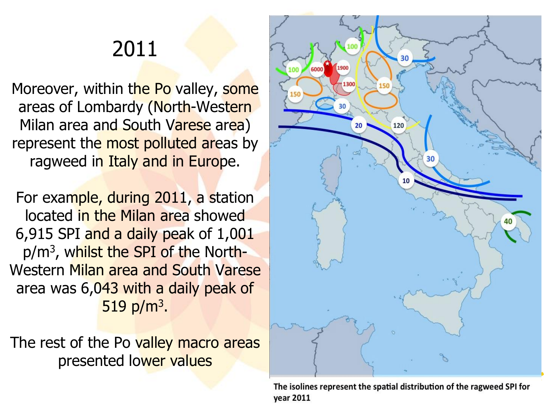#### 2011

Moreover, within the Po valley, some areas of Lombardy (North-Western Milan area and South Varese area) represent the most polluted areas by ragweed in Italy and in Europe.

For example, during 2011, a station located in the Milan area showed 6,915 SPI and a daily peak of 1,001 p/m<sup>3</sup>, w<mark>hilst the SPI of the</mark> North-Western Milan area and South Varese area was 6,043 with a daily peak of  $519$  p/m<sup>3</sup>.

The rest of the Po valley macro areas presented lower values



The isolines represent the spatial distribution of the ragweed SPI for **year 2011**